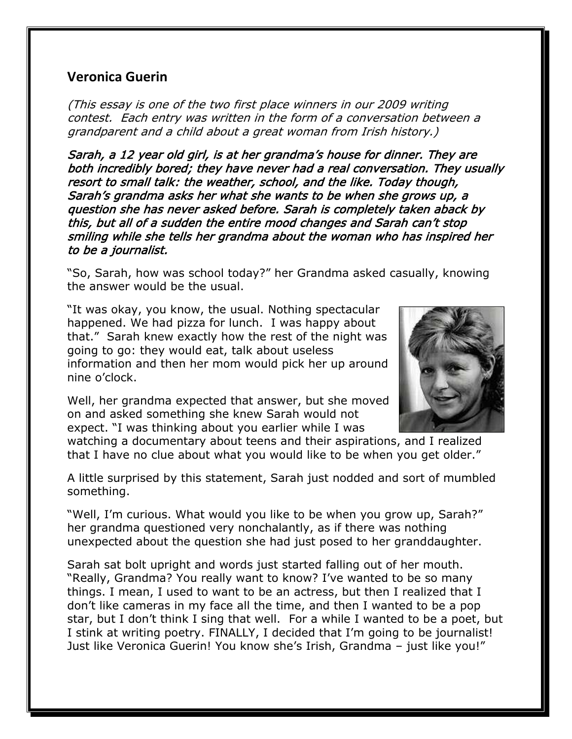## **Veronica Guerin**

(This essay is one of the two first place winners in our 2009 writing contest. Each entry was written in the form of a conversation between a grandparent and a child about a great woman from Irish history.)

Sarah, a 12 year old girl, is at her grandma's house for dinner. They are both incredibly bored; they have never had a real conversation. They usually resort to small talk: the weather, school, and the like. Today though, Sarah's grandma asks her what she wants to be when she grows up, a question she has never asked before. Sarah is completely taken aback by this, but all of a sudden the entire mood changes and Sarah can't stop smiling while she tells her grandma about the woman who has inspired her to be a journalist.

"So, Sarah, how was school today?" her Grandma asked casually, knowing the answer would be the usual.

"It was okay, you know, the usual. Nothing spectacular happened. We had pizza for lunch. I was happy about that." Sarah knew exactly how the rest of the night was going to go: they would eat, talk about useless information and then her mom would pick her up around nine o'clock.

Well, her grandma expected that answer, but she moved on and asked something she knew Sarah would not expect. "I was thinking about you earlier while I was



watching a documentary about teens and their aspirations, and I realized that I have no clue about what you would like to be when you get older."

A little surprised by this statement, Sarah just nodded and sort of mumbled something.

"Well, I'm curious. What would you like to be when you grow up, Sarah?" her grandma questioned very nonchalantly, as if there was nothing unexpected about the question she had just posed to her granddaughter.

Sarah sat bolt upright and words just started falling out of her mouth. "Really, Grandma? You really want to know? I've wanted to be so many things. I mean, I used to want to be an actress, but then I realized that I don't like cameras in my face all the time, and then I wanted to be a pop star, but I don't think I sing that well. For a while I wanted to be a poet, but I stink at writing poetry. FINALLY, I decided that I'm going to be journalist! Just like Veronica Guerin! You know she's Irish, Grandma – just like you!"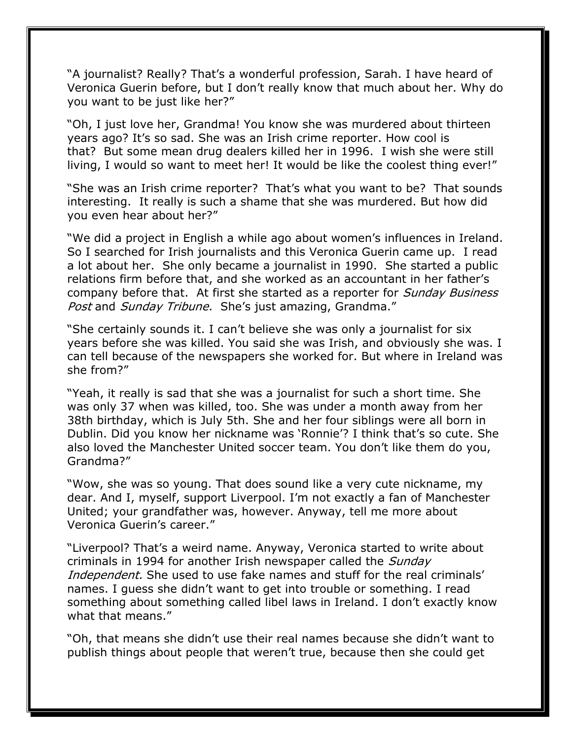"A journalist? Really? That's a wonderful profession, Sarah. I have heard of Veronica Guerin before, but I don't really know that much about her. Why do you want to be just like her?"

"Oh, I just love her, Grandma! You know she was murdered about thirteen years ago? It's so sad. She was an Irish crime reporter. How cool is that? But some mean drug dealers killed her in 1996. I wish she were still living, I would so want to meet her! It would be like the coolest thing ever!"

"She was an Irish crime reporter? That's what you want to be? That sounds interesting. It really is such a shame that she was murdered. But how did you even hear about her?"

"We did a project in English a while ago about women's influences in Ireland. So I searched for Irish journalists and this Veronica Guerin came up. I read a lot about her. She only became a journalist in 1990. She started a public relations firm before that, and she worked as an accountant in her father's company before that. At first she started as a reporter for *Sunday Business* Post and Sunday Tribune. She's just amazing, Grandma."

"She certainly sounds it. I can't believe she was only a journalist for six years before she was killed. You said she was Irish, and obviously she was. I can tell because of the newspapers she worked for. But where in Ireland was she from?"

"Yeah, it really is sad that she was a journalist for such a short time. She was only 37 when was killed, too. She was under a month away from her 38th birthday, which is July 5th. She and her four siblings were all born in Dublin. Did you know her nickname was 'Ronnie'? I think that's so cute. She also loved the Manchester United soccer team. You don't like them do you, Grandma?"

"Wow, she was so young. That does sound like a very cute nickname, my dear. And I, myself, support Liverpool. I'm not exactly a fan of Manchester United; your grandfather was, however. Anyway, tell me more about Veronica Guerin's career."

"Liverpool? That's a weird name. Anyway, Veronica started to write about criminals in 1994 for another Irish newspaper called the *Sunday* Independent. She used to use fake names and stuff for the real criminals' names. I guess she didn't want to get into trouble or something. I read something about something called libel laws in Ireland. I don't exactly know what that means."

"Oh, that means she didn't use their real names because she didn't want to publish things about people that weren't true, because then she could get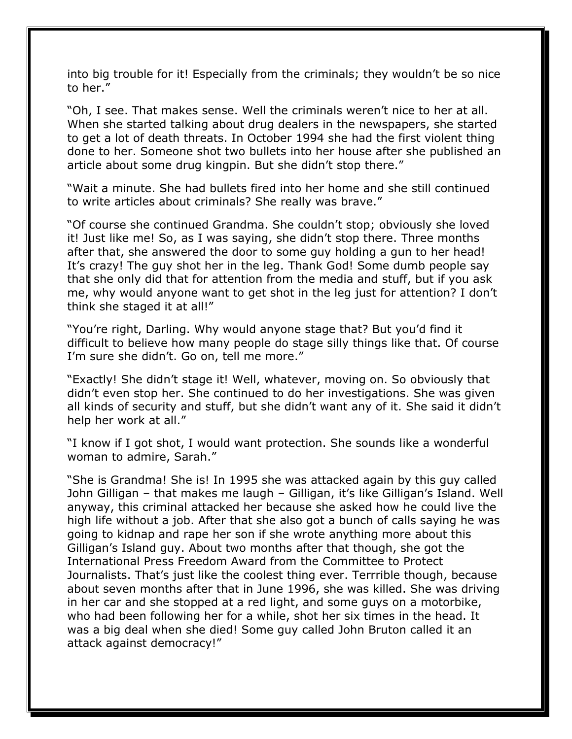into big trouble for it! Especially from the criminals; they wouldn't be so nice to her."

"Oh, I see. That makes sense. Well the criminals weren't nice to her at all. When she started talking about drug dealers in the newspapers, she started to get a lot of death threats. In October 1994 she had the first violent thing done to her. Someone shot two bullets into her house after she published an article about some drug kingpin. But she didn't stop there."

"Wait a minute. She had bullets fired into her home and she still continued to write articles about criminals? She really was brave."

"Of course she continued Grandma. She couldn't stop; obviously she loved it! Just like me! So, as I was saying, she didn't stop there. Three months after that, she answered the door to some guy holding a gun to her head! It's crazy! The guy shot her in the leg. Thank God! Some dumb people say that she only did that for attention from the media and stuff, but if you ask me, why would anyone want to get shot in the leg just for attention? I don't think she staged it at all!"

"You're right, Darling. Why would anyone stage that? But you'd find it difficult to believe how many people do stage silly things like that. Of course I'm sure she didn't. Go on, tell me more."

"Exactly! She didn't stage it! Well, whatever, moving on. So obviously that didn't even stop her. She continued to do her investigations. She was given all kinds of security and stuff, but she didn't want any of it. She said it didn't help her work at all."

"I know if I got shot, I would want protection. She sounds like a wonderful woman to admire, Sarah."

"She is Grandma! She is! In 1995 she was attacked again by this guy called John Gilligan – that makes me laugh – Gilligan, it's like Gilligan's Island. Well anyway, this criminal attacked her because she asked how he could live the high life without a job. After that she also got a bunch of calls saying he was going to kidnap and rape her son if she wrote anything more about this Gilligan's Island guy. About two months after that though, she got the International Press Freedom Award from the Committee to Protect Journalists. That's just like the coolest thing ever. Terrrible though, because about seven months after that in June 1996, she was killed. She was driving in her car and she stopped at a red light, and some guys on a motorbike, who had been following her for a while, shot her six times in the head. It was a big deal when she died! Some guy called John Bruton called it an attack against democracy!"